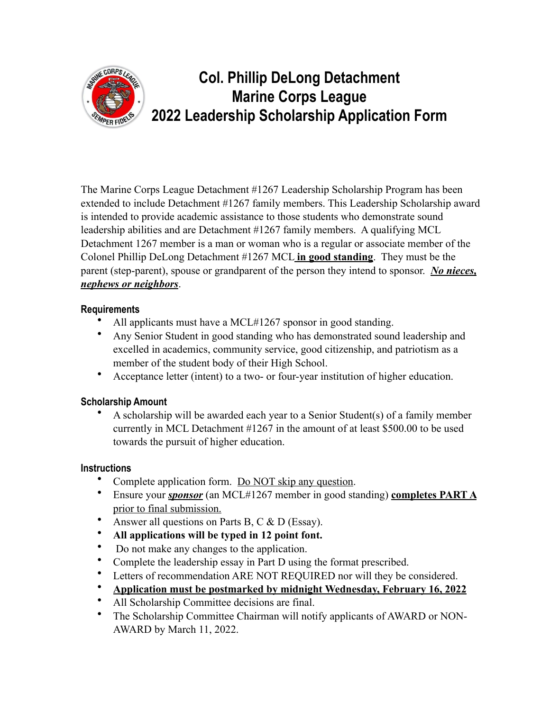

# **Col. Phillip DeLong Detachment Marine Corps League 2022 Leadership Scholarship Application Form**

The Marine Corps League Detachment #1267 Leadership Scholarship Program has been extended to include Detachment #1267 family members. This Leadership Scholarship award is intended to provide academic assistance to those students who demonstrate sound leadership abilities and are Detachment #1267 family members. A qualifying MCL Detachment 1267 member is a man or woman who is a regular or associate member of the Colonel Phillip DeLong Detachment #1267 MCL **in good standing**. They must be the parent (step-parent), spouse or grandparent of the person they intend to sponsor. *No nieces, nephews or neighbors*.

#### **Requirements**

- All applicants must have a MCL#1267 sponsor in good standing.
- Any Senior Student in good standing who has demonstrated sound leadership and excelled in academics, community service, good citizenship, and patriotism as a member of the student body of their High School.
- Acceptance letter (intent) to a two- or four-year institution of higher education.

#### **Scholarship Amount**

• A scholarship will be awarded each year to a Senior Student(s) of a family member currently in MCL Detachment #1267 in the amount of at least \$500.00 to be used towards the pursuit of higher education.

#### **Instructions**

- Complete application form. Do NOT skip any question.
- Ensure your *sponsor* (an MCL#1267 member in good standing) **completes PART A**  prior to final submission.
- Answer all questions on Parts B, C & D (Essay).
- **All applications will be typed in 12 point font.**
- Do not make any changes to the application.
- Complete the leadership essay in Part D using the format prescribed.
- Letters of recommendation ARE NOT REQUIRED nor will they be considered.
- **Application must be postmarked by midnight Wednesday, February 16, 2022**
- All Scholarship Committee decisions are final.
- The Scholarship Committee Chairman will notify applicants of AWARD or NON-AWARD by March 11, 2022.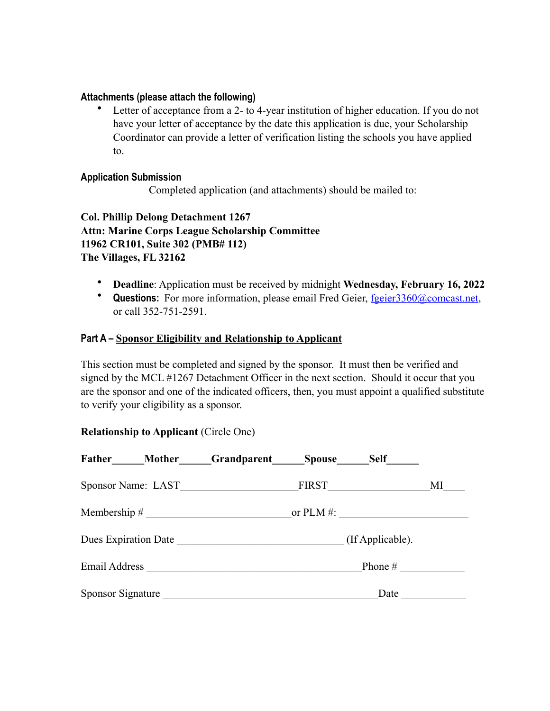#### **Attachments (please attach the following)**

Letter of acceptance from a 2- to 4-year institution of higher education. If you do not have your letter of acceptance by the date this application is due, your Scholarship Coordinator can provide a letter of verification listing the schools you have applied to.

#### **Application Submission**

Completed application (and attachments) should be mailed to:

**Col. Phillip Delong Detachment 1267 Attn: Marine Corps League Scholarship Committee 11962 CR101, Suite 302 (PMB# 112) The Villages, FL 32162**

- **Deadline**: Application must be received by midnight **Wednesday, February 16, 2022**
- **Questions:** For more information, please email Fred Geier, [fgeier3360@comcast.net,](mailto:fgeier3360@comcast.net) or call 352-751-2591.

#### **Part A – Sponsor Eligibility and Relationship to Applicant**

This section must be completed and signed by the sponsor. It must then be verified and signed by the MCL #1267 Detachment Officer in the next section. Should it occur that you are the sponsor and one of the indicated officers, then, you must appoint a qualified substitute to verify your eligibility as a sponsor.

#### **Relationship to Applicant** (Circle One)

| Father             | Mother Grandparent Spouse |              | Self             |    |
|--------------------|---------------------------|--------------|------------------|----|
| Sponsor Name: LAST |                           |              | FIRST            | MI |
| Membership $\#$    |                           | or PLM $#$ : |                  |    |
|                    | Dues Expiration Date      |              | (If Applicable). |    |
| Email Address      |                           |              | Phone $#$        |    |
| Sponsor Signature  |                           |              | Date             |    |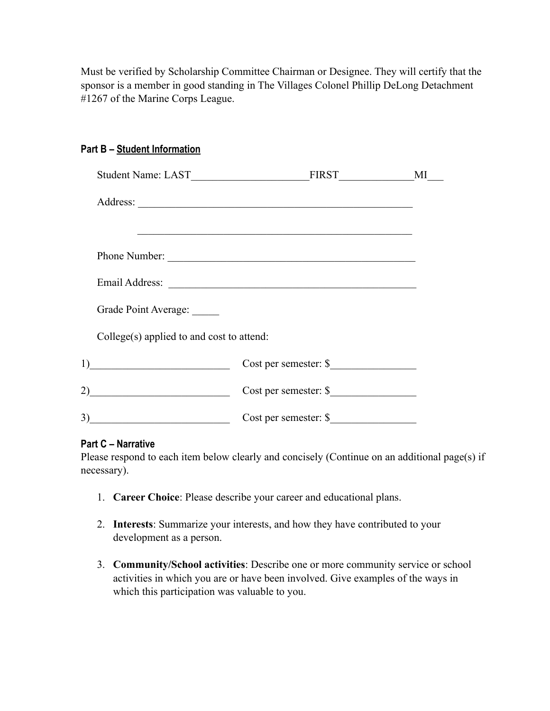Must be verified by Scholarship Committee Chairman or Designee. They will certify that the sponsor is a member in good standing in The Villages Colonel Phillip DeLong Detachment #1267 of the Marine Corps League.

#### **Part B – Student Information**

|                                             |                                                                                                                  | MI |
|---------------------------------------------|------------------------------------------------------------------------------------------------------------------|----|
|                                             |                                                                                                                  |    |
|                                             | and the control of the control of the control of the control of the control of the control of the control of the |    |
|                                             | Phone Number:                                                                                                    |    |
|                                             | Email Address:                                                                                                   |    |
| Grade Point Average:                        |                                                                                                                  |    |
| $Collect(s)$ applied to and cost to attend: |                                                                                                                  |    |
| 1)                                          | Cost per semester: \$                                                                                            |    |
|                                             | Cost per semester: \$                                                                                            |    |
| 3)                                          | Cost per semester: \$                                                                                            |    |

#### **Part C – Narrative**

Please respond to each item below clearly and concisely (Continue on an additional page(s) if necessary).

- 1. **Career Choice**: Please describe your career and educational plans.
- 2. **Interests**: Summarize your interests, and how they have contributed to your development as a person.
- 3. **Community/School activities**: Describe one or more community service or school activities in which you are or have been involved. Give examples of the ways in which this participation was valuable to you.